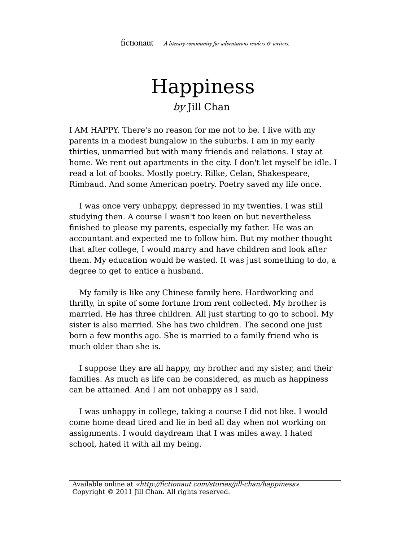## Happiness by Jill Chan

I AM HAPPY. There's no reason for me not to be. I live with my parents in a modest bungalow in the suburbs. I am in my early thirties, unmarried but with many friends and relations. I stay at home. We rent out apartments in the city. I don't let myself be idle. I read a lot of books. Mostly poetry. Rilke, Celan, Shakespeare, Rimbaud. And some American poetry. Poetry saved my life once.

I was once very unhappy, depressed in my twenties. I was still studying then. A course I wasn't too keen on but nevertheless finished to please my parents, especially my father. He was an accountant and expected me to follow him. But my mother thought that after college, I would marry and have children and look after them. My education would be wasted. It was just something to do, a degree to get to entice a husband.

My family is like any Chinese family here. Hardworking and thrifty, in spite of some fortune from rent collected. My brother is married. He has three children. All just starting to go to school. My sister is also married. She has two children. The second one just born a few months ago. She is married to a family friend who is much older than she is.

I suppose they are all happy, my brother and my sister, and their families. As much as life can be considered, as much as happiness can be attained. And I am not unhappy as I said.

I was unhappy in college, taking a course I did not like. I would come home dead tired and lie in bed all day when not working on assignments. I would daydream that I was miles away. I hated school, hated it with all my being.

Available online at «http://fictionaut.com/stories/jill-chan/happiness» Copyright © 2011 Jill Chan. All rights reserved.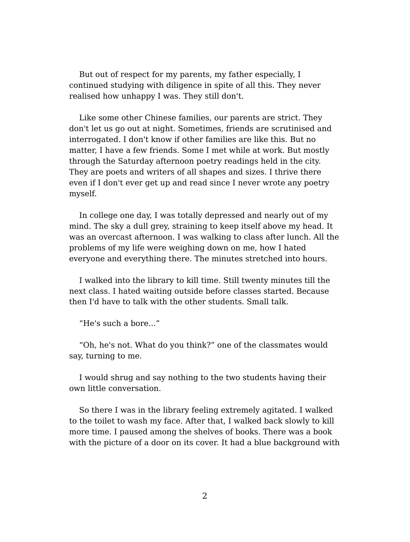But out of respect for my parents, my father especially, I continued studying with diligence in spite of all this. They never realised how unhappy I was. They still don't.

Like some other Chinese families, our parents are strict. They don't let us go out at night. Sometimes, friends are scrutinised and interrogated. I don't know if other families are like this. But no matter, I have a few friends. Some I met while at work. But mostly through the Saturday afternoon poetry readings held in the city. They are poets and writers of all shapes and sizes. I thrive there even if I don't ever get up and read since I never wrote any poetry myself.

In college one day, I was totally depressed and nearly out of my mind. The sky a dull grey, straining to keep itself above my head. It was an overcast afternoon. I was walking to class after lunch. All the problems of my life were weighing down on me, how I hated everyone and everything there. The minutes stretched into hours.

I walked into the library to kill time. Still twenty minutes till the next class. I hated waiting outside before classes started. Because then I'd have to talk with the other students. Small talk.

"He's such a bore..."

"Oh, he's not. What do you think?" one of the classmates would say, turning to me.

I would shrug and say nothing to the two students having their own little conversation.

So there I was in the library feeling extremely agitated. I walked to the toilet to wash my face. After that, I walked back slowly to kill more time. I paused among the shelves of books. There was a book with the picture of a door on its cover. It had a blue background with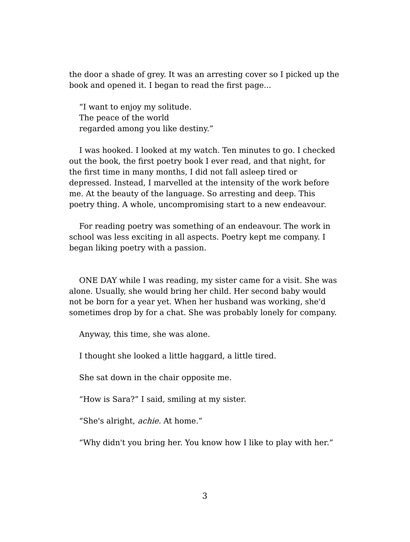the door a shade of grey. It was an arresting cover so I picked up the book and opened it. I began to read the first page...

"I want to enjoy my solitude. The peace of the world regarded among you like destiny."

I was hooked. I looked at my watch. Ten minutes to go. I checked out the book, the first poetry book I ever read, and that night, for the first time in many months, I did not fall asleep tired or depressed. Instead, I marvelled at the intensity of the work before me. At the beauty of the language. So arresting and deep. This poetry thing. A whole, uncompromising start to a new endeavour.

For reading poetry was something of an endeavour. The work in school was less exciting in all aspects. Poetry kept me company. I began liking poetry with a passion.

ONE DAY while I was reading, my sister came for a visit. She was alone. Usually, she would bring her child. Her second baby would not be born for a year yet. When her husband was working, she'd sometimes drop by for a chat. She was probably lonely for company.

Anyway, this time, she was alone.

I thought she looked a little haggard, a little tired.

She sat down in the chair opposite me.

"How is Sara?" I said, smiling at my sister.

"She's alright, *achie*. At home."

"Why didn't you bring her. You know how I like to play with her."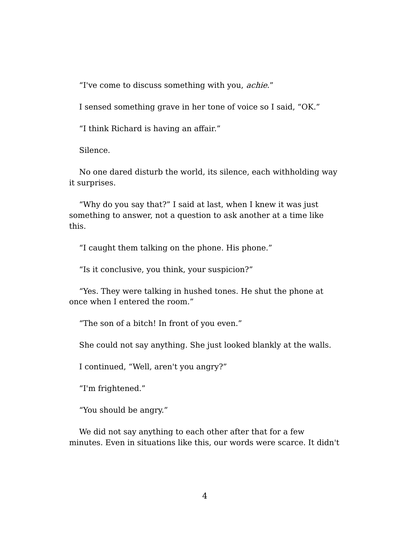"I've come to discuss something with you, achie."

I sensed something grave in her tone of voice so I said, "OK."

"I think Richard is having an affair."

Silence.

No one dared disturb the world, its silence, each withholding way it surprises.

"Why do you say that?" I said at last, when I knew it was just something to answer, not a question to ask another at a time like this.

"I caught them talking on the phone. His phone."

"Is it conclusive, you think, your suspicion?"

"Yes. They were talking in hushed tones. He shut the phone at once when I entered the room."

"The son of a bitch! In front of you even."

She could not say anything. She just looked blankly at the walls.

I continued, "Well, aren't you angry?"

"I'm frightened."

"You should be angry."

We did not say anything to each other after that for a few minutes. Even in situations like this, our words were scarce. It didn't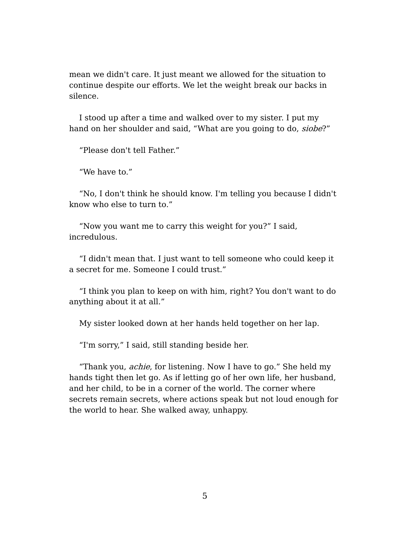mean we didn't care. It just meant we allowed for the situation to continue despite our efforts. We let the weight break our backs in silence.

I stood up after a time and walked over to my sister. I put my hand on her shoulder and said, "What are you going to do, siobe?"

"Please don't tell Father."

"We have to."

"No, I don't think he should know. I'm telling you because I didn't know who else to turn to."

"Now you want me to carry this weight for you?" I said, incredulous.

"I didn't mean that. I just want to tell someone who could keep it a secret for me. Someone I could trust."

"I think you plan to keep on with him, right? You don't want to do anything about it at all."

My sister looked down at her hands held together on her lap.

"I'm sorry," I said, still standing beside her.

"Thank you, achie, for listening. Now I have to go." She held my hands tight then let go. As if letting go of her own life, her husband, and her child, to be in a corner of the world. The corner where secrets remain secrets, where actions speak but not loud enough for the world to hear. She walked away, unhappy.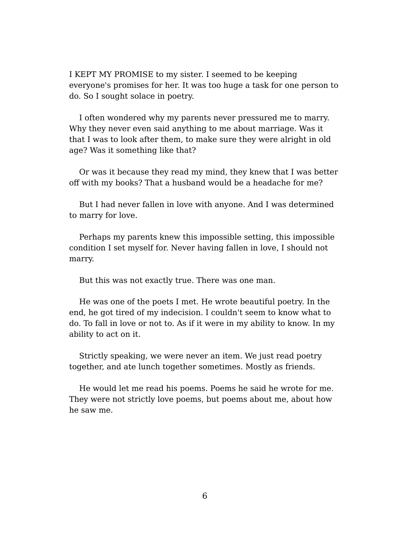I KEPT MY PROMISE to my sister. I seemed to be keeping everyone's promises for her. It was too huge a task for one person to do. So I sought solace in poetry.

I often wondered why my parents never pressured me to marry. Why they never even said anything to me about marriage. Was it that I was to look after them, to make sure they were alright in old age? Was it something like that?

Or was it because they read my mind, they knew that I was better off with my books? That a husband would be a headache for me?

But I had never fallen in love with anyone. And I was determined to marry for love.

Perhaps my parents knew this impossible setting, this impossible condition I set myself for. Never having fallen in love, I should not marry.

But this was not exactly true. There was one man.

He was one of the poets I met. He wrote beautiful poetry. In the end, he got tired of my indecision. I couldn't seem to know what to do. To fall in love or not to. As if it were in my ability to know. In my ability to act on it.

Strictly speaking, we were never an item. We just read poetry together, and ate lunch together sometimes. Mostly as friends.

He would let me read his poems. Poems he said he wrote for me. They were not strictly love poems, but poems about me, about how he saw me.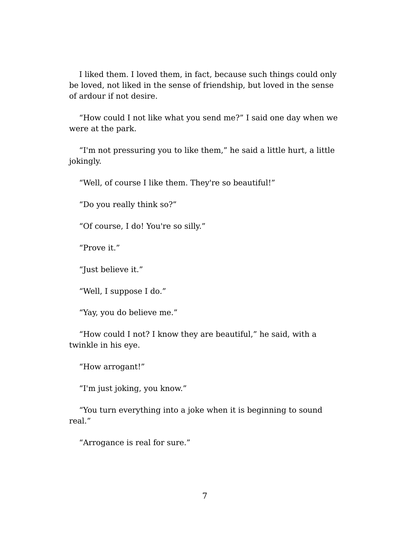I liked them. I loved them, in fact, because such things could only be loved, not liked in the sense of friendship, but loved in the sense of ardour if not desire.

"How could I not like what you send me?" I said one day when we were at the park.

"I'm not pressuring you to like them," he said a little hurt, a little jokingly.

"Well, of course I like them. They're so beautiful!"

"Do you really think so?"

"Of course, I do! You're so silly."

"Prove it."

"Just believe it."

"Well, I suppose I do."

"Yay, you do believe me."

"How could I not? I know they are beautiful," he said, with a twinkle in his eye.

"How arrogant!"

"I'm just joking, you know."

"You turn everything into a joke when it is beginning to sound real."

"Arrogance is real for sure."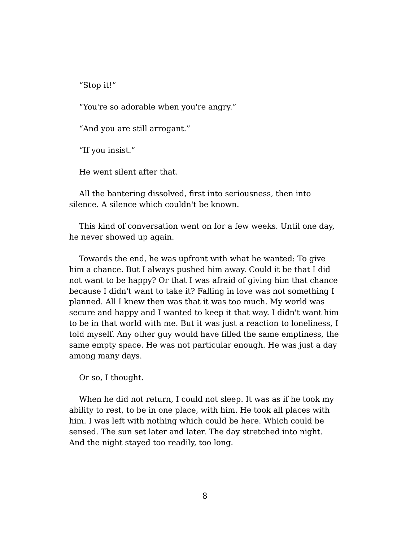"Stop it!"

"You're so adorable when you're angry."

"And you are still arrogant."

"If you insist."

He went silent after that.

All the bantering dissolved, first into seriousness, then into silence. A silence which couldn't be known.

This kind of conversation went on for a few weeks. Until one day, he never showed up again.

Towards the end, he was upfront with what he wanted: To give him a chance. But I always pushed him away. Could it be that I did not want to be happy? Or that I was afraid of giving him that chance because I didn't want to take it? Falling in love was not something I planned. All I knew then was that it was too much. My world was secure and happy and I wanted to keep it that way. I didn't want him to be in that world with me. But it was just a reaction to loneliness, I told myself. Any other guy would have filled the same emptiness, the same empty space. He was not particular enough. He was just a day among many days.

Or so, I thought.

When he did not return, I could not sleep. It was as if he took my ability to rest, to be in one place, with him. He took all places with him. I was left with nothing which could be here. Which could be sensed. The sun set later and later. The day stretched into night. And the night stayed too readily, too long.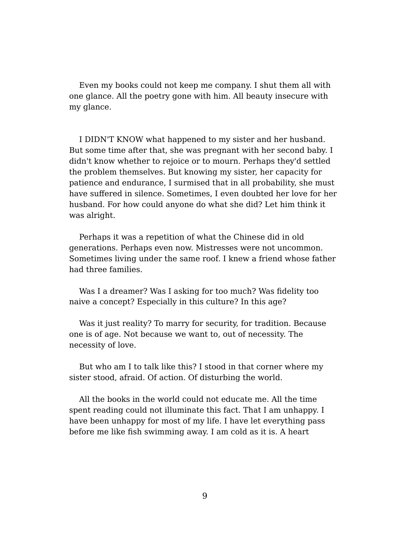Even my books could not keep me company. I shut them all with one glance. All the poetry gone with him. All beauty insecure with my glance.

I DIDN'T KNOW what happened to my sister and her husband. But some time after that, she was pregnant with her second baby. I didn't know whether to rejoice or to mourn. Perhaps they'd settled the problem themselves. But knowing my sister, her capacity for patience and endurance, I surmised that in all probability, she must have suffered in silence. Sometimes, I even doubted her love for her husband. For how could anyone do what she did? Let him think it was alright.

Perhaps it was a repetition of what the Chinese did in old generations. Perhaps even now. Mistresses were not uncommon. Sometimes living under the same roof. I knew a friend whose father had three families.

Was I a dreamer? Was I asking for too much? Was fidelity too naive a concept? Especially in this culture? In this age?

Was it just reality? To marry for security, for tradition. Because one is of age. Not because we want to, out of necessity. The necessity of love.

But who am I to talk like this? I stood in that corner where my sister stood, afraid. Of action. Of disturbing the world.

All the books in the world could not educate me. All the time spent reading could not illuminate this fact. That I am unhappy. I have been unhappy for most of my life. I have let everything pass before me like fish swimming away. I am cold as it is. A heart